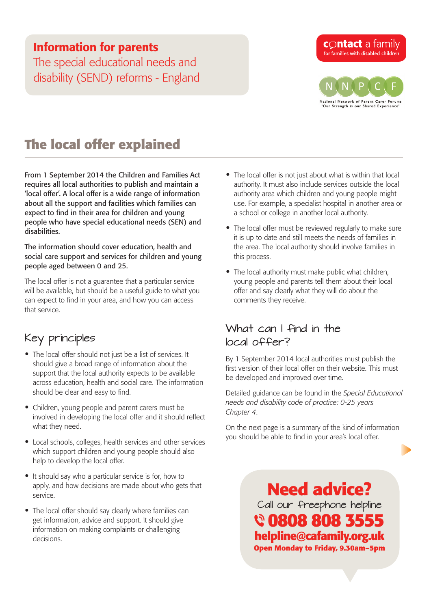### Information for parents

The special educational needs and disability (SEND) reforms - England

#### **contact** a family for families with disabled children



# **The local offer explained**

From 1 September 2014 the Children and Families Act requires all local authorities to publish and maintain a 'local offer'. A local offer is a wide range of information about all the support and facilities which families can expect to find in their area for children and young people who have special educational needs (SEN) and disabilities.

The information should cover education, health and social care support and services for children and young people aged between 0 and 25.

The local offer is not a guarantee that a particular service will be available, but should be a useful guide to what you can expect to find in your area, and how you can access that service.

## Key principles

- The local offer should not just be a list of services. It should give a broad range of information about the support that the local authority expects to be available across education, health and social care. The information should be clear and easy to find.
- Children, young people and parent carers must be involved in developing the local offer and it should reflect what they need.
- Local schools, colleges, health services and other services which support children and young people should also help to develop the local offer.
- It should say who a particular service is for, how to apply, and how decisions are made about who gets that service.
- The local offer should say clearly where families can get information, advice and support. It should give information on making complaints or challenging decisions.
- The local offer is not just about what is within that local authority. It must also include services outside the local authority area which children and young people might use. For example, a specialist hospital in another area or a school or college in another local authority.
- The local offer must be reviewed regularly to make sure it is up to date and still meets the needs of families in the area. The local authority should involve families in this process.
- The local authority must make public what children, young people and parents tell them about their local offer and say clearly what they will do about the comments they receive.

#### What can I find in the local offer?

By 1 September 2014 local authorities must publish the first version of their local offer on their website. This must be developed and improved over time.

Detailed guidance can be found in the *[Special Educational](https://www.gov.uk/government/uploads/system/uploads/attachment_data/file/342440/SEND_Code_of_Practice_approved_by_Parliament_29.07.14.pdf)  [needs and disability code of practice](https://www.gov.uk/government/uploads/system/uploads/attachment_data/file/342440/SEND_Code_of_Practice_approved_by_Parliament_29.07.14.pdf): 0-25 years Chapter 4*.

On the next page is a summary of the kind of information you should be able to find in your area's local offer.

> **Need advice?** Call our freephone helpline  **0808 808 3555 helpline@cafamily.org.uk Open Monday to Friday, 9.30am–5pm**